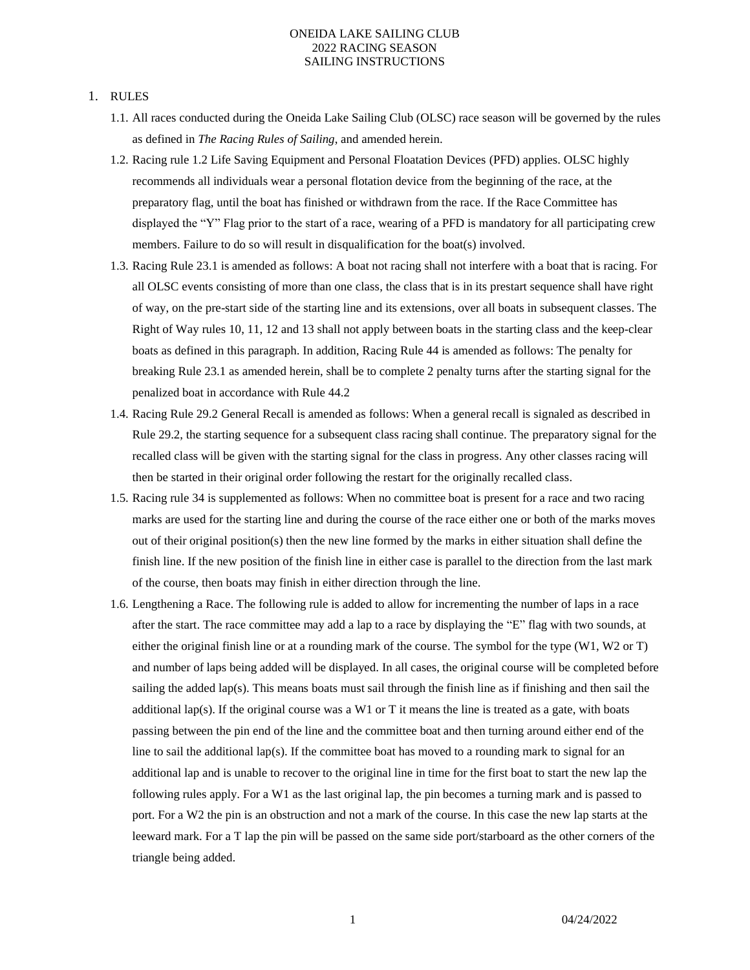#### 1. RULES

- 1.1. All races conducted during the Oneida Lake Sailing Club (OLSC) race season will be governed by the rules as defined in *The Racing Rules of Sailing*, and amended herein.
- 1.2. Racing rule 1.2 Life Saving Equipment and Personal Floatation Devices (PFD) applies. OLSC highly recommends all individuals wear a personal flotation device from the beginning of the race, at the preparatory flag, until the boat has finished or withdrawn from the race. If the Race Committee has displayed the "Y" Flag prior to the start of a race, wearing of a PFD is mandatory for all participating crew members. Failure to do so will result in disqualification for the boat(s) involved.
- 1.3. Racing Rule 23.1 is amended as follows: A boat not racing shall not interfere with a boat that is racing. For all OLSC events consisting of more than one class, the class that is in its prestart sequence shall have right of way, on the pre-start side of the starting line and its extensions, over all boats in subsequent classes. The Right of Way rules 10, 11, 12 and 13 shall not apply between boats in the starting class and the keep-clear boats as defined in this paragraph. In addition, Racing Rule 44 is amended as follows: The penalty for breaking Rule 23.1 as amended herein, shall be to complete 2 penalty turns after the starting signal for the penalized boat in accordance with Rule 44.2
- 1.4. Racing Rule 29.2 General Recall is amended as follows: When a general recall is signaled as described in Rule 29.2, the starting sequence for a subsequent class racing shall continue. The preparatory signal for the recalled class will be given with the starting signal for the class in progress. Any other classes racing will then be started in their original order following the restart for the originally recalled class.
- 1.5. Racing rule 34 is supplemented as follows: When no committee boat is present for a race and two racing marks are used for the starting line and during the course of the race either one or both of the marks moves out of their original position(s) then the new line formed by the marks in either situation shall define the finish line. If the new position of the finish line in either case is parallel to the direction from the last mark of the course, then boats may finish in either direction through the line.
- 1.6. Lengthening a Race. The following rule is added to allow for incrementing the number of laps in a race after the start. The race committee may add a lap to a race by displaying the "E" flag with two sounds, at either the original finish line or at a rounding mark of the course. The symbol for the type (W1, W2 or T) and number of laps being added will be displayed. In all cases, the original course will be completed before sailing the added lap(s). This means boats must sail through the finish line as if finishing and then sail the additional lap(s). If the original course was a W1 or T it means the line is treated as a gate, with boats passing between the pin end of the line and the committee boat and then turning around either end of the line to sail the additional lap(s). If the committee boat has moved to a rounding mark to signal for an additional lap and is unable to recover to the original line in time for the first boat to start the new lap the following rules apply. For a W1 as the last original lap, the pin becomes a turning mark and is passed to port. For a W2 the pin is an obstruction and not a mark of the course. In this case the new lap starts at the leeward mark. For a T lap the pin will be passed on the same side port/starboard as the other corners of the triangle being added.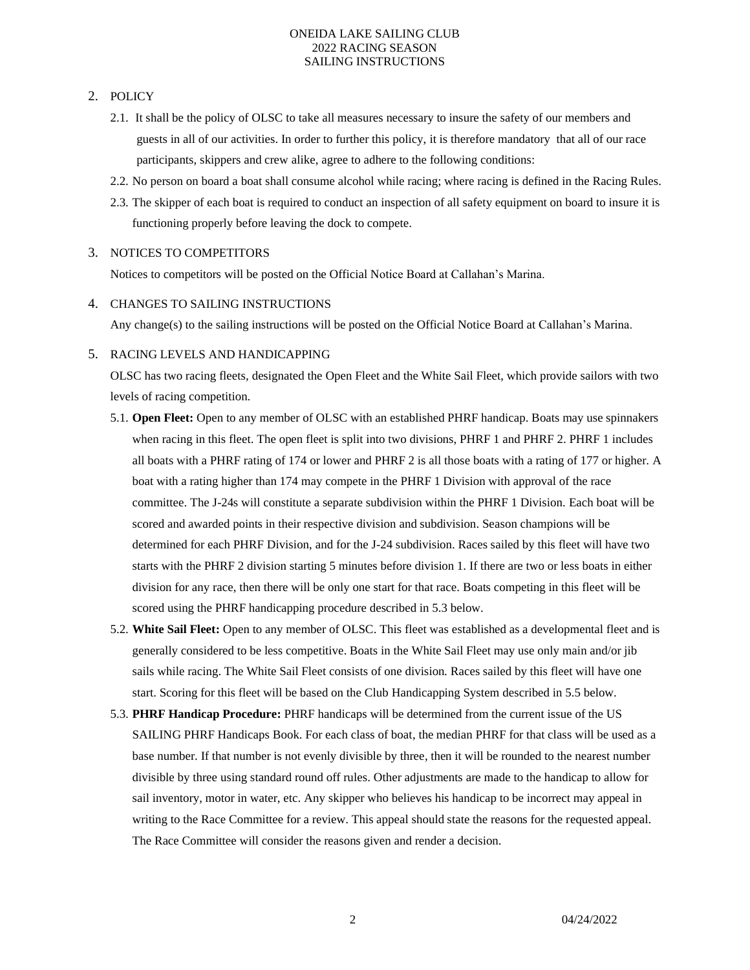# 2. POLICY

- 2.1. It shall be the policy of OLSC to take all measures necessary to insure the safety of our members and guests in all of our activities. In order to further this policy, it is therefore mandatory that all of our race participants, skippers and crew alike, agree to adhere to the following conditions:
- 2.2. No person on board a boat shall consume alcohol while racing; where racing is defined in the Racing Rules.
- 2.3. The skipper of each boat is required to conduct an inspection of all safety equipment on board to insure it is functioning properly before leaving the dock to compete.

## 3. NOTICES TO COMPETITORS

Notices to competitors will be posted on the Official Notice Board at Callahan's Marina.

## 4. CHANGES TO SAILING INSTRUCTIONS

Any change(s) to the sailing instructions will be posted on the Official Notice Board at Callahan's Marina.

## 5. RACING LEVELS AND HANDICAPPING

OLSC has two racing fleets, designated the Open Fleet and the White Sail Fleet, which provide sailors with two levels of racing competition.

- 5.1. **Open Fleet:** Open to any member of OLSC with an established PHRF handicap. Boats may use spinnakers when racing in this fleet. The open fleet is split into two divisions, PHRF 1 and PHRF 2. PHRF 1 includes all boats with a PHRF rating of 174 or lower and PHRF 2 is all those boats with a rating of 177 or higher. A boat with a rating higher than 174 may compete in the PHRF 1 Division with approval of the race committee. The J-24s will constitute a separate subdivision within the PHRF 1 Division. Each boat will be scored and awarded points in their respective division and subdivision. Season champions will be determined for each PHRF Division, and for the J-24 subdivision. Races sailed by this fleet will have two starts with the PHRF 2 division starting 5 minutes before division 1. If there are two or less boats in either division for any race, then there will be only one start for that race. Boats competing in this fleet will be scored using the PHRF handicapping procedure described in 5.3 below.
- 5.2. **White Sail Fleet:** Open to any member of OLSC. This fleet was established as a developmental fleet and is generally considered to be less competitive. Boats in the White Sail Fleet may use only main and/or jib sails while racing. The White Sail Fleet consists of one division. Races sailed by this fleet will have one start. Scoring for this fleet will be based on the Club Handicapping System described in 5.5 below.
- 5.3. **PHRF Handicap Procedure:** PHRF handicaps will be determined from the current issue of the US SAILING PHRF Handicaps Book. For each class of boat, the median PHRF for that class will be used as a base number. If that number is not evenly divisible by three, then it will be rounded to the nearest number divisible by three using standard round off rules. Other adjustments are made to the handicap to allow for sail inventory, motor in water, etc. Any skipper who believes his handicap to be incorrect may appeal in writing to the Race Committee for a review. This appeal should state the reasons for the requested appeal. The Race Committee will consider the reasons given and render a decision.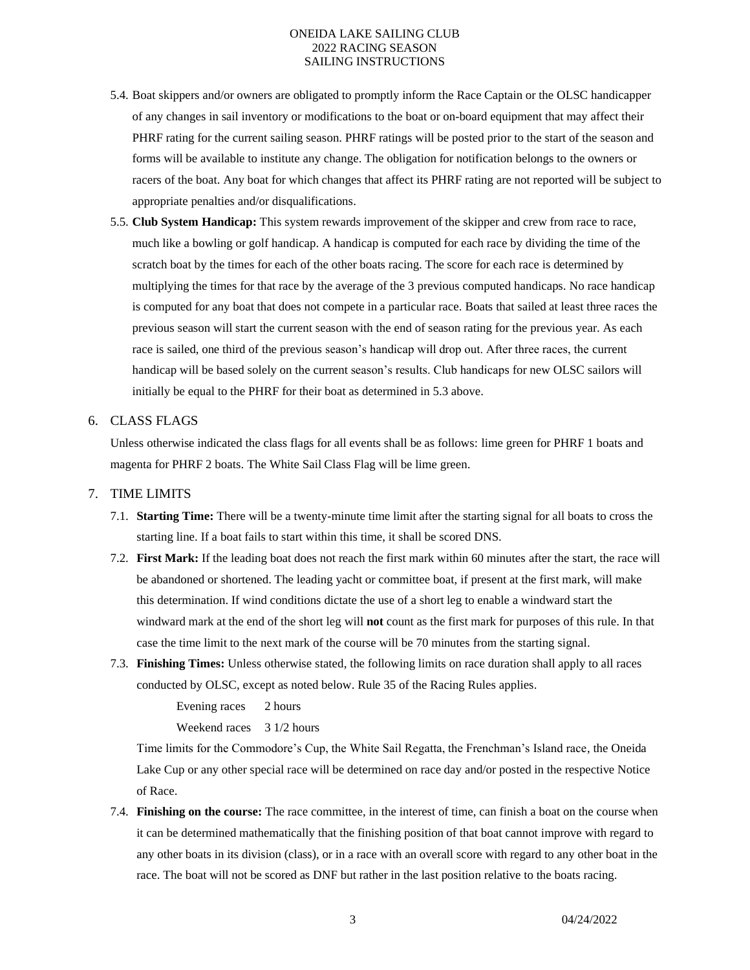- 5.4. Boat skippers and/or owners are obligated to promptly inform the Race Captain or the OLSC handicapper of any changes in sail inventory or modifications to the boat or on-board equipment that may affect their PHRF rating for the current sailing season. PHRF ratings will be posted prior to the start of the season and forms will be available to institute any change. The obligation for notification belongs to the owners or racers of the boat. Any boat for which changes that affect its PHRF rating are not reported will be subject to appropriate penalties and/or disqualifications.
- 5.5. **Club System Handicap:** This system rewards improvement of the skipper and crew from race to race, much like a bowling or golf handicap. A handicap is computed for each race by dividing the time of the scratch boat by the times for each of the other boats racing. The score for each race is determined by multiplying the times for that race by the average of the 3 previous computed handicaps. No race handicap is computed for any boat that does not compete in a particular race. Boats that sailed at least three races the previous season will start the current season with the end of season rating for the previous year. As each race is sailed, one third of the previous season's handicap will drop out. After three races, the current handicap will be based solely on the current season's results. Club handicaps for new OLSC sailors will initially be equal to the PHRF for their boat as determined in 5.3 above.
- 6. CLASS FLAGS

Unless otherwise indicated the class flags for all events shall be as follows: lime green for PHRF 1 boats and magenta for PHRF 2 boats. The White Sail Class Flag will be lime green.

#### 7. TIME LIMITS

- 7.1. **Starting Time:** There will be a twenty-minute time limit after the starting signal for all boats to cross the starting line. If a boat fails to start within this time, it shall be scored DNS.
- 7.2. **First Mark:** If the leading boat does not reach the first mark within 60 minutes after the start, the race will be abandoned or shortened. The leading yacht or committee boat, if present at the first mark, will make this determination. If wind conditions dictate the use of a short leg to enable a windward start the windward mark at the end of the short leg will **not** count as the first mark for purposes of this rule. In that case the time limit to the next mark of the course will be 70 minutes from the starting signal.
- 7.3. **Finishing Times:** Unless otherwise stated, the following limits on race duration shall apply to all races conducted by OLSC, except as noted below. Rule 35 of the Racing Rules applies.

Evening races 2 hours

Weekend races 3 1/2 hours

Time limits for the Commodore's Cup, the White Sail Regatta, the Frenchman's Island race, the Oneida Lake Cup or any other special race will be determined on race day and/or posted in the respective Notice of Race.

7.4. **Finishing on the course:** The race committee, in the interest of time, can finish a boat on the course when it can be determined mathematically that the finishing position of that boat cannot improve with regard to any other boats in its division (class), or in a race with an overall score with regard to any other boat in the race. The boat will not be scored as DNF but rather in the last position relative to the boats racing.